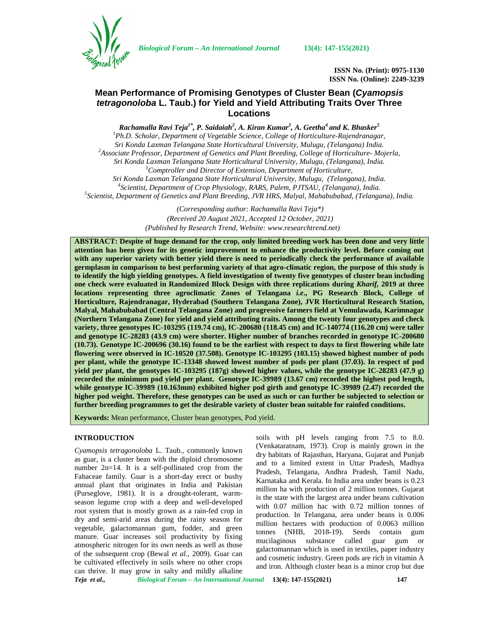

*Biological Forum – An International Journal* **13(4): 147-155(2021)**

**ISSN No. (Print): 0975-1130 ISSN No. (Online): 2249-3239**

# **Mean Performance of Promising Genotypes of Cluster Bean (***Cyamopsis tetragonoloba* **L. Taub.) for Yield and Yield Attributing Traits Over Three Locations**

*Rachamalla Ravi Teja1\* , P. Saidaiah<sup>2</sup> , A. Kiran Kumar<sup>3</sup> , A. Geetha<sup>4</sup> and K. Bhasker<sup>5</sup> <sup>1</sup>Ph.D. Scholar, Department of Vegetable Science, College of Horticulture-Rajendranagar,* Sri Konda Laxman Telangana State Horticultural University, Mulugu, (Telangana) India.<br><sup>2</sup> Associate Professor, Department of Genetics and Plant Breeding, College of Horticulture- Mojerla, *Sri Konda Laxman Telangana State Horticultural University, Mulugu, (Telangana), India. <sup>3</sup>Comptroller and Director of Extension, Department of Horticulture,* Sri Konda Laxman Telangana State Horticultural University, Mulugu, (Telangana), India.<br><sup>4</sup>Scientist, Department of Crop Physiology, RARS, Palem, PJTSAU, (Telangana), India.<br><sup>5</sup>Scientist, Department of Genetics and Plant Br

*(Corresponding author: Rachamalla Ravi Teja\*) (Received 20 August 2021, Accepted 12 October, 2021) (Published by Research Trend, Website: <www.researchtrend.net>)*

**ABSTRACT: Despite of huge demand for the crop, only limited breeding work has been done and very little attention has been given for its genetic improvement to enhance the productivity level. Before coming out with any superior variety with better yield there is need to periodically check the performance of available germplasm in comparison to best performing variety of that agro-climatic region, the purpose of this study is to identify the high yielding genotypes. A field investigation of twenty five genotypes of cluster bean including one check were evaluated in Randomized Block Design with three replications during** *Kharif,* **2019 at three locations representing three agroclimatic Zones of Telangana** *i.e***., PG Research Block, College of Horticulture, Rajendranagar, Hyderabad (Southern Telangana Zone), JVR Horticultural Research Station, Malyal, Mahabubabad (Central Telangana Zone) and progressive farmers field at Vemulawada, Karimnagar (Northern Telangana Zone) for yield and yield attributing traits. Among the twenty four genotypes and check variety, three genotypes IC-103295 (119.74 cm), IC-200680 (118.45 cm) and IC-140774 (116.20 cm) were taller and genotype IC-28283 (43.9 cm) were shorter. Higher number of branches recorded in genotype IC-200680 (10.73). Genotype IC-200696 (30.16) found to be the earliest with respect to days to first flowering while late flowering were observed in IC-10520 (37.508). Genotype IC-103295 (103.15) showed highest number of pods per plant, while the genotype IC-13348 showed lowest number of pods per plant (37.03). In respect of pod yield per plant, the genotypes IC-103295 (187g) showed higher values, while the genotype IC-28283 (47.9 g) recorded the minimum pod yield per plant. Genotype IC-39989 (13.67 cm) recorded the highest pod length, while genotype IC-39989 (10.163mm) exhibited higher pod girth and genotype IC-39989 (2.47) recorded the higher pod weight. Therefore, these genotypes can be used as such or can further be subjected to selection or further breeding programmes to get the desirable variety of cluster bean suitable for rainfed conditions.**

**Keywords:** Mean performance, Cluster bean genotypes, Pod yield.

# **INTRODUCTION**

*Teja et al., Biological Forum – An International Journal* **13(4): 147-155(2021) 147** *Cyamopsis tetragonoloba* L. Taub., commonly known as guar, is a cluster bean with the diploid chromosome number 2n=14. It is a self-pollinated crop from the Fabaceae family. Guar is a short-day erect or bushy annual plant that originates in India and Pakistan (Purseglove, 1981). It is a drought-tolerant, warm season legume crop with a deep and well-developed root system that is mostly grown as a rain-fed crop in dry and semi-arid areas during the rainy season for vegetable, galactomannan gum, fodder, and green manure. Guar increases soil productivity by fixing atmospheric nitrogen for its own needs as well as those of the subsequent crop (Bewal *et al*., 2009). Guar can be cultivated effectively in soils where no other crops can thrive. It may grow in salty and mildly alkaline

soils with pH levels ranging from 7.5 to 8.0. (Venkataratnam, 1973). Crop is mainly grown in the dry habitats of Rajasthan, Haryana, Gujarat and Punjab and to a limited extent in Uttar Pradesh, Madhya Pradesh, Telangana, Andhra Pradesh, Tamil Nadu, Karnataka and Kerala. In India area under beans is 0.23 million ha with production of 2 million tonnes. Gujarat is the state with the largest area under beans cultivation with 0.07 million hac with 0.72 million tonnes of production. In Telangana, area under beans is 0.006 million hectares with production of 0.0063 million tonnes (NHB, 2018-19). Seeds contain gum mucilaginous substance called guar gum or galactomannan which is used in textiles, paper industry and cosmetic industry. Green pods are rich in vitamin A and iron. Although cluster bean is a minor crop but due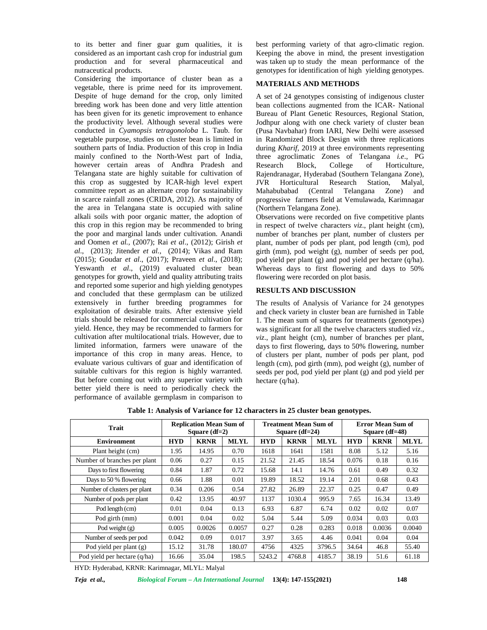to its better and finer guar gum qualities, it is considered as an important cash crop for industrial gum production and for several pharmaceutical and nutraceutical products.

Considering the importance of cluster bean as a vegetable, there is prime need for its improvement. Despite of huge demand for the crop, only limited breeding work has been done and very little attention has been given for its genetic improvement to enhance the productivity level. Although several studies were conducted in *Cyamopsis tetragonoloba* L. Taub. for vegetable purpose, studies on cluster bean is limited in southern parts of India. Production of this crop in India mainly confined to the North-West part of India, however certain areas of Andhra Pradesh and Telangana state are highly suitable for cultivation of this crop as suggested by ICAR-high level expert committee report as an alternate crop for sustainability in scarce rainfall zones (CRIDA, 2012). As majority of the area in Telangana state is occupied with saline alkali soils with poor organic matter, the adoption of this crop in this region may be recommended to bring the poor and marginal lands under cultivation. Anandi and Oomen *et al.,* (2007); Rai *et al*., (2012); Girish *et al*., (2013); Jitender *et al.,* (2014); Vikas and Ram (2015); Goudar *et al*., (2017); Praveen *et al*., (2018); Yeswanth *et al*., (2019) evaluated cluster bean genotypes for growth, yield and quality attributing traits and reported some superior and high yielding genotypes and concluded that these germplasm can be utilized extensively in further breeding programmes for exploitation of desirable traits. After extensive yield trials should be released for commercial cultivation for yield. Hence, they may be recommended to farmers for cultivation after multilocational trials. However, due to limited information, farmers were unaware of the importance of this crop in many areas. Hence, to evaluate various cultivars of guar and identification of suitable cultivars for this region is highly warranted. But before coming out with any superior variety with better yield there is need to periodically check the performance of available germplasm in comparison to

best performing variety of that agro-climatic region. Keeping the above in mind, the present investigation was taken up to study the mean performance of the genotypes for identification of high yielding genotypes.

#### **MATERIALS AND METHODS**

A set of 24 genotypes consisting of indigenous cluster bean collections augmented from the ICAR- National Bureau of Plant Genetic Resources, Regional Station, Jodhpur along with one check variety of cluster bean (Pusa Navbahar) from IARI, New Delhi were assessed in Randomized Block Design with three replications during *Kharif,* 2019 at three environments representing three agroclimatic Zones of Telangana *i.e*., PG Block, College of Horticulture, Rajendranagar, Hyderabad (Southern Telangana Zone), Horticultural Research Station, Malyal, Mahabubabad (Central Telangana Zone) and progressive farmers field at Vemulawada, Karimnagar (Northern Telangana Zone).

Observations were recorded on five competitive plants in respect of twelve characters *viz*., plant height (cm), number of branches per plant, number of clusters per plant, number of pods per plant, pod length (cm), pod girth (mm), pod weight (g), number of seeds per pod, pod yield per plant (g) and pod yield per hectare (q/ha). Whereas days to first flowering and days to 50% flowering were recorded on plot basis.

#### **RESULTS AND DISCUSSION**

The results of Analysis of Variance for 24 genotypes and check variety in cluster bean are furnished in Table 1. The mean sum of squares for treatments (genotypes) was significant for all the twelve characters studied *viz*., *viz*., plant height (cm), number of branches per plant, days to first flowering, days to 50% flowering, number of clusters per plant, number of pods per plant, pod length (cm), pod girth (mm), pod weight (g), number of seeds per pod, pod yield per plant (g) and pod yield per hectare (q/ha).

| <b>Trait</b>                 |            | <b>Replication Mean Sum of</b><br>Square $(df=2)$ |             |        | <b>Treatment Mean Sum of</b><br>Square $(df=24)$ |        | <b>Error Mean Sum of</b><br>Square $(df=48)$ |             |             |  |  |
|------------------------------|------------|---------------------------------------------------|-------------|--------|--------------------------------------------------|--------|----------------------------------------------|-------------|-------------|--|--|
| <b>Environment</b>           | <b>HYD</b> | <b>KRNR</b>                                       | <b>MLYL</b> | HYD    | <b>KRNR</b>                                      | MLYL   | <b>HYD</b>                                   | <b>KRNR</b> | <b>MLYL</b> |  |  |
| Plant height (cm)            | 1.95       | 14.95                                             | 0.70        | 1618   | 1641                                             | 1581   | 8.08                                         | 5.12        | 5.16        |  |  |
| Number of branches per plant | 0.06       | 0.27                                              | 0.15        | 21.52  | 21.45                                            | 18.54  | 0.076                                        | 0.18        | 0.16        |  |  |
| Days to first flowering      | 0.84       | 1.87                                              | 0.72        | 15.68  | 14.1                                             | 14.76  | 0.61                                         | 0.49        | 0.32        |  |  |
| Days to 50 % flowering       | 0.66       | 1.88                                              | 0.01        | 19.89  | 18.52                                            | 19.14  | 2.01                                         | 0.68        | 0.43        |  |  |
| Number of clusters per plant | 0.34       | 0.206                                             | 0.54        | 27.82  | 26.89                                            | 22.37  | 0.25                                         | 0.47        | 0.49        |  |  |
| Number of pods per plant     | 0.42       | 13.95                                             | 40.97       | 1137   | 1030.4                                           | 995.9  | 7.65                                         | 16.34       | 13.49       |  |  |
| Pod length (cm)              | 0.01       | 0.04                                              | 0.13        | 6.93   | 6.87                                             | 6.74   | 0.02                                         | 0.02        | 0.07        |  |  |
| Pod girth (mm)               | 0.001      | 0.04                                              | 0.02        | 5.04   | 5.44                                             | 5.09   | 0.034                                        | 0.03        | 0.03        |  |  |
| Pod weight $(g)$             | 0.005      | 0.0026                                            | 0.0057      | 0.27   | 0.28                                             | 0.283  | 0.018                                        | 0.0036      | 0.0040      |  |  |
| Number of seeds per pod      | 0.042      | 0.09                                              | 0.017       | 3.97   | 3.65                                             | 4.46   | 0.041                                        | 0.04        | 0.04        |  |  |
| Pod yield per plant $(g)$    | 15.12      | 31.78                                             | 180.07      | 4756   | 4325                                             | 3796.5 | 34.64                                        | 46.8        | 55.40       |  |  |
| Pod yield per hectare (q/ha) | 16.66      | 35.04                                             | 198.5       | 5243.2 | 4768.8                                           | 4185.7 | 38.19                                        | 51.6        | 61.18       |  |  |

**Table 1: Analysis of Variance for 12 characters in 25 cluster bean genotypes.**

HYD: Hyderabad, KRNR: Karimnagar, MLYL: Malyal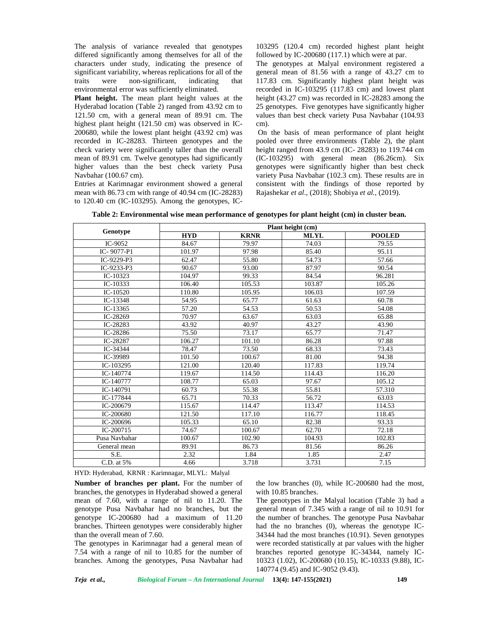The analysis of variance revealed that genotypes differed significantly among themselves for all of the characters under study, indicating the presence of significant variability, whereas replications for all of the traits were non-significant, indicating that environmental error was sufficiently eliminated.

**Plant height.** The mean plant height values at the Hyderabad location (Table 2) ranged from 43.92 cm to 121.50 cm, with a general mean of 89.91 cm. The highest plant height (121.50 cm) was observed in IC- 200680, while the lowest plant height (43.92 cm) was recorded in IC-28283. Thirteen genotypes and the check variety were significantly taller than the overall mean of 89.91 cm. Twelve genotypes had significantly higher values than the best check variety Pusa Navbahar (100.67 cm).

Entries at Karimnagar environment showed a general mean with 86.73 cm with range of 40.94 cm (IC-28283) to 120.40 cm (IC-103295). Among the genotypes, IC-

103295 (120.4 cm) recorded highest plant height followed by IC-200680 (117.1) which were at par.

The genotypes at Malyal environment registered a general mean of 81.56 with a range of 43.27 cm to 117.83 cm. Significantly highest plant height was recorded in IC-103295 (117.83 cm) and lowest plant height (43.27 cm) was recorded in IC-28283 among the 25 genotypes. Five genotypes have significantly higher values than best check variety Pusa Navbahar (104.93 cm).

On the basis of mean performance of plant height pooled over three environments (Table 2), the plant height ranged from 43.9 cm (IC- 28283) to 119.744 cm (IC-103295) with general mean (86.26cm). Six genotypes were significantly higher than best check variety Pusa Navbahar (102.3 cm). These results are in consistent with the findings of those reported by Rajashekar *et al*., (2018); Shobiya *et al.,* (2019).

|               | Plant height (cm) |             |             |               |  |  |  |  |  |
|---------------|-------------------|-------------|-------------|---------------|--|--|--|--|--|
| Genotype      | <b>HYD</b>        | <b>KRNR</b> | <b>MLYL</b> | <b>POOLED</b> |  |  |  |  |  |
| IC-9052       | 84.67             | 79.97       | 74.03       | 79.55         |  |  |  |  |  |
| IC-9077-P1    | 101.97            | 97.98       | 85.40       | 95.11         |  |  |  |  |  |
| IC-9229-P3    | 62.47             | 55.80       | 54.73       | 57.66         |  |  |  |  |  |
| IC-9233-P3    | 90.67             | 93.00       | 87.97       | 90.54         |  |  |  |  |  |
| $IC-10323$    | 104.97            | 99.33       | 84.54       | 96.281        |  |  |  |  |  |
| $IC-10333$    | 106.40            | 105.53      | 103.87      | 105.26        |  |  |  |  |  |
| IC- $10520$   | 110.80            | 105.95      | 106.03      | 107.59        |  |  |  |  |  |
| IC-13348      | 54.95             | 65.77       | 61.63       | 60.78         |  |  |  |  |  |
| $IC-13365$    | 57.20             | 54.53       | 50.53       | 54.08         |  |  |  |  |  |
| IC-28269      | 70.97             | 63.67       | 63.03       | 65.88         |  |  |  |  |  |
| IC-28283      | 43.92             | 40.97       | 43.27       | 43.90         |  |  |  |  |  |
| IC-28286      | 75.50             | 73.17       | 65.77       | 71.47         |  |  |  |  |  |
| IC-28287      | 106.27            | 101.10      | 86.28       | 97.88         |  |  |  |  |  |
| IC-34344      | 78.47             | 73.50       | 68.33       | 73.43         |  |  |  |  |  |
| IC-39989      | 101.50            | 100.67      | 81.00       | 94.38         |  |  |  |  |  |
| IC-103295     | 121.00            | 120.40      | 117.83      | 119.74        |  |  |  |  |  |
| IC-140774     | 119.67            | 114.50      | 114.43      | 116.20        |  |  |  |  |  |
| IC-140777     | 108.77            | 65.03       | 97.67       | 105.12        |  |  |  |  |  |
| IC-140791     | 60.73             | 55.38       | 55.81       | 57.310        |  |  |  |  |  |
| IC-177844     | 65.71             | 70.33       | 56.72       | 63.03         |  |  |  |  |  |
| IC-200679     | 115.67            | 114.47      | 113.47      | 114.53        |  |  |  |  |  |
| IC-200680     | 121.50            | 117.10      | 116.77      | 118.45        |  |  |  |  |  |
| IC-200696     | 105.33            | 65.10       | 82.38       | 93.33         |  |  |  |  |  |
| IC-200715     | 74.67             | 100.67      | 62.70       | 72.18         |  |  |  |  |  |
| Pusa Navbahar | 100.67            | 102.90      | 104.93      | 102.83        |  |  |  |  |  |
| General mean  | 89.91             | 86.73       | 81.56       | 86.26         |  |  |  |  |  |
| S.E.          | 2.32              | 1.84        | 1.85        | 2.47          |  |  |  |  |  |
| C.D. at 5%    | 4.66              | 3.718       | 3.731       | 7.15          |  |  |  |  |  |

**Table 2: Environmental wise mean performance of genotypes for plant height (cm) in cluster bean.**

HYD: Hyderabad, KRNR : Karimnagar, MLYL: Malyal

**Number of branches per plant.** For the number of branches, the genotypes in Hyderabad showed a general mean of 7.60, with a range of nil to 11.20. The genotype Pusa Navbahar had no branches, but the genotype IC-200680 had a maximum of 11.20 branches. Thirteen genotypes were considerably higher than the overall mean of 7.60.

The genotypes in Karimnagar had a general mean of 7.54 with a range of nil to 10.85 for the number of branches. Among the genotypes, Pusa Navbahar had the low branches (0), while IC-200680 had the most, with 10.85 branches.

The genotypes in the Malyal location (Table 3) had a general mean of 7.345 with a range of nil to 10.91 for the number of branches. The genotype Pusa Navbahar had the no branches (0), whereas the genotype IC- 34344 had the most branches (10.91). Seven genotypes were recorded statistically at par values with the higher branches reported genotype IC-34344, namely IC- 10323 (1.02), IC-200680 (10.15), IC-10333 (9.88), IC- 140774 (9.45) and IC-9052 (9.43).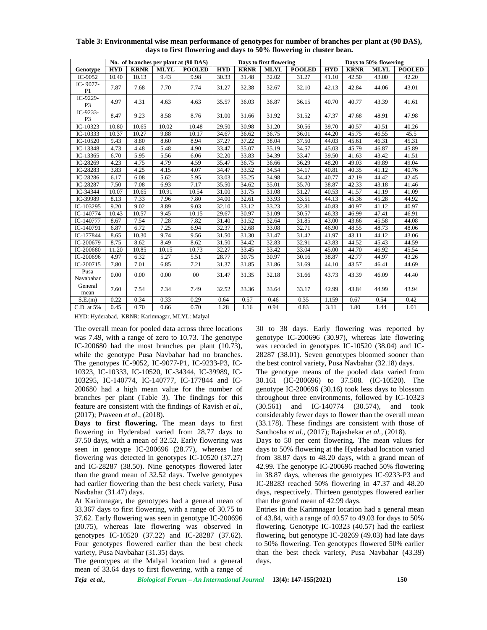|                            |            |             |             | No. of branches per plant at (90 DAS) |            |             | Days to first flowering |               | Days to 50% flowering |             |             |               |  |
|----------------------------|------------|-------------|-------------|---------------------------------------|------------|-------------|-------------------------|---------------|-----------------------|-------------|-------------|---------------|--|
| Genotype                   | <b>HYD</b> | <b>KRNR</b> | <b>MLYL</b> | <b>POOLED</b>                         | <b>HYD</b> | <b>KRNR</b> | <b>MLYL</b>             | <b>POOLED</b> | <b>HYD</b>            | <b>KRNR</b> | <b>MLYL</b> | <b>POOLED</b> |  |
| IC-9052                    | 10.40      | 10.13       | 9.43        | 9.98                                  | 30.33      | 31.48       | 32.02                   | 31.27         | 41.10                 | 42.50       | 43.00       | 42.20         |  |
| IC-9077-<br>P1             | 7.87       | 7.68        | 7.70        | 7.74                                  | 31.27      | 32.38       | 32.67                   | 32.10         | 42.13                 | 42.84       | 44.06       | 43.01         |  |
| IC-9229-<br>P <sub>3</sub> | 4.97       | 4.31        | 4.63        | 4.63                                  | 35.57      | 36.03       | 36.87                   | 36.15         | 40.70                 | 40.77       | 43.39       | 41.61         |  |
| IC-9233-<br>P3             | 8.47       | 9.23        | 8.58        | 8.76                                  | 31.00      | 31.66       | 31.92                   | 31.52         | 47.37                 | 47.68       | 48.91       | 47.98         |  |
| IC-10323                   | 10.80      | 10.65       | 10.02       | 10.48                                 | 29.50      | 30.98       | 31.20                   | 30.56         | 39.70                 | 40.57       | 40.51       | 40.26         |  |
| IC-10333                   | 10.37      | 10.27       | 9.88        | 10.17                                 | 34.67      | 36.62       | 36.75                   | 36.01         | 44.20                 | 45.75       | 46.55       | 45.5          |  |
| IC-10520                   | 9.43       | 8.80        | 8.60        | 8.94                                  | 37.27      | 37.22       | 38.04                   | 37.50         | 44.03                 | 45.61       | 46.31       | 45.31         |  |
| IC-13348                   | 4.73       | 4.48        | 5.48        | 4.90                                  | 33.47      | 35.07       | 35.19                   | 34.57         | 45.03                 | 45.79       | 46.87       | 45.89         |  |
| IC-13365                   | 6.70       | 5.95        | 5.56        | 6.06                                  | 32.20      | 33.83       | 34.39                   | 33.47         | 39.50                 | 41.63       | 43.42       | 41.51         |  |
| IC-28269                   | 4.23       | 4.75        | 4.79        | 4.59                                  | 35.47      | 36.75       | 36.66                   | 36.29         | 48.20                 | 49.03       | 49.89       | 49.04         |  |
| IC-28283                   | 3.83       | 4.25        | 4.15        | 4.07                                  | 34.47      | 33.52       | 34.54                   | 34.17         | 40.81                 | 40.35       | 41.12       | 40.76         |  |
| IC-28286                   | 6.17       | 6.08        | 5.62        | 5.95                                  | 33.03      | 35.25       | 34.98                   | 34.42         | 40.77                 | 42.19       | 44.42       | 42.45         |  |
| IC-28287                   | 7.50       | 7.08        | 6.93        | 7.17                                  | 35.50      | 34.62       | 35.01                   | 35.70         | 38.87                 | 42.33       | 43.18       | 41.46         |  |
| IC-34344                   | 10.07      | 10.65       | 10.91       | 10.54                                 | 31.00      | 31.75       | 31.08                   | 31.27         | 40.53                 | 41.57       | 41.19       | 41.09         |  |
| IC-39989                   | 8.13       | 7.33        | 7.96        | 7.80                                  | 34.00      | 32.61       | 33.93                   | 33.51         | 44.13                 | 45.36       | 45.28       | 44.92         |  |
| IC-103295                  | 9.20       | 9.02        | 8.89        | 9.03                                  | 32.10      | 33.12       | 33.23                   | 32.81         | 40.83                 | 40.97       | 41.12       | 40.97         |  |
| IC-140774                  | 10.43      | 10.57       | 9.45        | 10.15                                 | 29.67      | 30.97       | 31.09                   | 30.57         | 46.33                 | 46.99       | 47.41       | 46.91         |  |
| IC-140777                  | 8.67       | 7.54        | 7.28        | 7.82                                  | 31.40      | 31.52       | 32.64                   | 31.85         | 43.00                 | 43.66       | 45.58       | 44.08         |  |
| IC-140791                  | 6.87       | 6.72        | 7.25        | 6.94                                  | 32.37      | 32.68       | 33.08                   | 32.71         | 46.90                 | 48.55       | 48.73       | 48.06         |  |
| IC-177844                  | 8.65       | 10.30       | 9.74        | 9.56                                  | 31.50      | 31.30       | 31.47                   | 31.42         | 41.97                 | 43.11       | 44.12       | 43.06         |  |
| IC-200679                  | 8.75       | 8.62        | 8.49        | 8.62                                  | 31.50      | 34.42       | 32.83                   | 32.91         | 43.83                 | 44.52       | 45.43       | 44.59         |  |
| IC-200680                  | 11.20      | 10.85       | 10.15       | 10.73                                 | 32.27      | 33.45       | 33.42                   | 33.04         | 45.00                 | 44.70       | 46.92       | 45.54         |  |
| IC-200696                  | 4.97       | 6.32        | 5.27        | 5.51                                  | 28.77      | 30.75       | 30.97                   | 30.16         | 38.87                 | 42.77       | 44.97       | 43.26         |  |
| IC-200715                  | 7.80       | 7.01        | 6.85        | 7.21                                  | 31.37      | 31.85       | 31.86                   | 31.69         | 44.10                 | 43.57       | 46.41       | 44.69         |  |
| Pusa<br>Navabahar          | 0.00       | 0.00        | 0.00        | $00\,$                                | 31.47      | 31.35       | 32.18                   | 31.66         | 43.73                 | 43.39       | 46.09       | 44.40         |  |
| General<br>mean            | 7.60       | 7.54        | 7.34        | 7.49                                  | 32.52      | 33.36       | 33.64                   | 33.17         | 42.99                 | 43.84       | 44.99       | 43.94         |  |
| S.E.(m)                    | 0.22       | 0.34        | 0.33        | 0.29                                  | 0.64       | 0.57        | 0.46                    | 0.35          | 1.159                 | 0.67        | 0.54        | 0.42          |  |
| C.D. at 5%                 | 0.45       | 0.70        | 0.66        | 0.70                                  | 1.28       | 1.16        | 0.94                    | 0.83          | 3.11                  | 1.80        | 1.44        | 1.01          |  |

**Table 3: Environmental wise mean performance of genotypes for number of branches per plant at (90 DAS), days to first flowering and days to 50% flowering in cluster bean.**

HYD: Hyderabad, KRNR: Karimnagar, MLYL: Malyal

The overall mean for pooled data across three locations was 7.49, with a range of zero to 10.73. The genotype IC-200680 had the most branches per plant (10.73), while the genotype Pusa Navbahar had no branches. The genotypes IC-9052, IC-9077-P1, IC-9233-P3, IC- 10323, IC-10333, IC-10520, IC-34344, IC-39989, IC- 103295, IC-140774, IC-140777, IC-177844 and IC- 200680 had a high mean value for the number of branches per plant (Table 3). The findings for this feature are consistent with the findings of Ravish *et al*., (2017); Praveen *et al*., (2018).

**Days to first flowering.** The mean days to first flowering in Hyderabad varied from 28.77 days to 37.50 days, with a mean of 32.52. Early flowering was seen in genotype IC-200696 (28.77), whereas late flowering was detected in genotypes IC-10520 (37.27) and IC-28287 (38.50). Nine genotypes flowered later than the grand mean of 32.52 days. Twelve genotypes had earlier flowering than the best check variety, Pusa Navbahar (31.47) days.

At Karimnagar, the genotypes had a general mean of 33.367 days to first flowering, with a range of 30.75 to 37.62. Early flowering was seen in genotype IC-200696 (30.75), whereas late flowering was observed in genotypes IC-10520 (37.22) and IC-28287 (37.62). Four genotypes flowered earlier than the best check variety, Pusa Navbahar (31.35) days.

The genotypes at the Malyal location had a general mean of 33.64 days to first flowering, with a range of

30 to 38 days. Early flowering was reported by genotype IC-200696 (30.97), whereas late flowering was recorded in genotypes IC-10520 (38.04) and IC- 28287 (38.01). Seven genotypes bloomed sooner than the best control variety, Pusa Navbahar (32.18) days.

The genotype means of the pooled data varied from 30.161 (IC-200696) to 37.508. (IC-10520). The genotype IC-200696 (30.16) took less days to blossom throughout three environments, followed by IC-10323 (30.561) and IC-140774 (30.574), and took considerably fewer days to flower than the overall mean (33.178). These findings are consistent with those of Santhosha *et al.,* (2017); Rajashekar *et al.,* (2018).

Days to 50 per cent flowering. The mean values for days to 50% flowering at the Hyderabad location varied from 38.87 days to 48.20 days, with a grand mean of 42.99. The genotype IC-200696 reached 50% flowering in 38.87 days, whereas the genotypes IC-9233-P3 and IC-28283 reached 50% flowering in 47.37 and 48.20 days, respectively. Thirteen genotypes flowered earlier than the grand mean of 42.99 days.

Entries in the Karimnagar location had a general mean of 43.84, with a range of 40.57 to 49.03 for days to 50% flowering. Genotype IC-10323 (40.57) had the earliest flowering, but genotype IC-28269 (49.03) had late days to 50% flowering. Ten genotypes flowered 50% earlier than the best check variety, Pusa Navbahar (43.39) days.

*Teja et al., Biological Forum – An International Journal* **13(4): 147-155(2021) 150**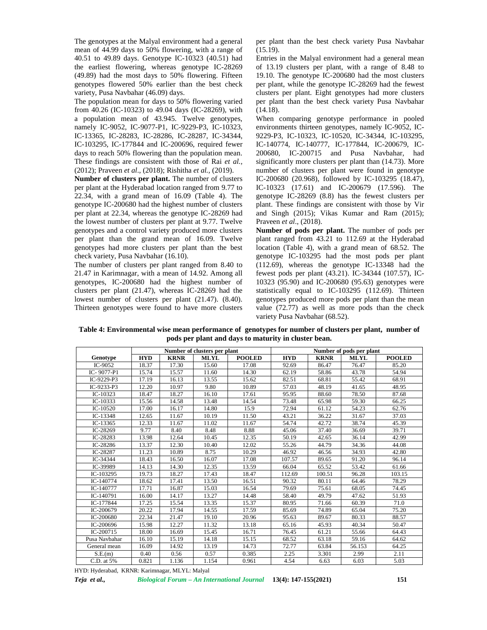The genotypes at the Malyal environment had a general mean of 44.99 days to 50% flowering, with a range of 40.51 to 49.89 days. Genotype IC-10323 (40.51) had the earliest flowering, whereas genotype IC-28269 (49.89) had the most days to 50% flowering. Fifteen genotypes flowered 50% earlier than the best check variety, Pusa Navbahar (46.09) days.

The population mean for days to 50% flowering varied from 40.26 (IC-10323) to 49.04 days (IC-28269), with a population mean of 43.945. Twelve genotypes, namely IC-9052, IC-9077-P1, IC-9229-P3, IC-10323, IC-13365, IC-28283, IC-28286, IC-28287, IC-34344, IC-103295, IC-177844 and IC-200696, required fewer days to reach 50% flowering than the population mean. These findings are consistent with those of Rai *et al.,* (2012); Praveen *et al*., (2018); Rishitha *et al.,* (2019).

**Number of clusters per plant.** The number of clusters per plant at the Hyderabad location ranged from 9.77 to 22.34, with a grand mean of 16.09 (Table 4). The genotype IC-200680 had the highest number of clusters per plant at 22.34, whereas the genotype IC-28269 had the lowest number of clusters per plant at 9.77. Twelve genotypes and a control variety produced more clusters per plant than the grand mean of 16.09. Twelve genotypes had more clusters per plant than the best check variety, Pusa Navbahar (16.10).

The number of clusters per plant ranged from 8.40 to 21.47 in Karimnagar, with a mean of 14.92. Among all genotypes, IC-200680 had the highest number of clusters per plant (21.47), whereas IC-28269 had the lowest number of clusters per plant (21.47). (8.40). Thirteen genotypes were found to have more clusters per plant than the best check variety Pusa Navbahar (15.19).

Entries in the Malyal environment had a general mean of 13.19 clusters per plant, with a range of 8.48 to 19.10. The genotype IC-200680 had the most clusters per plant, while the genotype IC-28269 had the fewest clusters per plant. Eight genotypes had more clusters per plant than the best check variety Pusa Navbahar  $(14.18).$ 

When comparing genotype performance in pooled environments thirteen genotypes, namely IC-9052, IC- 9229-P3, IC-10323, IC-10520, IC-34344, IC-103295, IC-140774, IC-140777, IC-177844, IC-200679, IC- 200680, IC-200715 and Pusa Navbahar, had significantly more clusters per plant than (14.73). More number of clusters per plant were found in genotype IC-200680 (20.968), followed by IC-103295 (18.47), IC-10323 (17.61) and IC-200679 (17.596). The genotype IC-28269 (8.8) has the fewest clusters per plant. These findings are consistent with those by Vir and Singh (2015); Vikas Kumar and Ram (2015); Praveen *et al*., (2018).

**Number of pods per plant.** The number of pods per plant ranged from 43.21 to 112.69 at the Hyderabad location (Table 4), with a grand mean of 68.52. The genotype IC-103295 had the most pods per plant (112.69), whereas the genotype IC-13348 had the fewest pods per plant (43.21). IC-34344 (107.57), IC- 10323 (95.90) and IC-200680 (95.63) genotypes were statistically equal to IC-103295 (112.69). Thirteen genotypes produced more pods per plant than the mean value (72.77) as well as more pods than the check variety Pusa Navbahar (68.52).

**Table 4: Environmental wise mean performance of genotypes for number of clusters per plant, number of pods per plant and days to maturity in cluster bean.**

|               |            |             | Number of clusters per plant |               | Number of pods per plant |             |             |               |  |  |
|---------------|------------|-------------|------------------------------|---------------|--------------------------|-------------|-------------|---------------|--|--|
| Genotype      | <b>HYD</b> | <b>KRNR</b> | <b>MLYL</b>                  | <b>POOLED</b> | <b>HYD</b>               | <b>KRNR</b> | <b>MLYL</b> | <b>POOLED</b> |  |  |
| IC-9052       | 18.37      | 17.30       | 15.60                        | 17.08         | 92.69                    | 86.47       | 76.47       | 85.20         |  |  |
| IC-9077-P1    | 15.74      | 15.57       | 11.60                        | 14.30         | 62.19                    | 58.86       | 43.78       | 54.94         |  |  |
| IC-9229-P3    | 17.19      | 16.13       | 13.55                        | 15.62         | 82.51                    | 68.81       | 55.42       | 68.91         |  |  |
| IC-9233-P3    | 12.20      | 10.97       | 9.80                         | 10.89         | 57.03                    | 48.19       | 41.65       | 48.95         |  |  |
| $IC-10323$    | 18.47      | 18.27       | 16.10                        | 17.61         | 95.95                    | 88.60       | 78.50       | 87.68         |  |  |
| IC-10333      | 15.56      | 14.58       | 13.48                        | 14.54         | 73.48                    | 65.98       | 59.30       | 66.25         |  |  |
| IC- $10520$   | 17.00      | 16.17       | 14.80                        | 15.9          | 72.94                    | 61.12       | 54.23       | 62.76         |  |  |
| $IC-13348$    | 12.65      | 11.67       | 10.19                        | 11.50         | 43.21                    | 36.22       | 31.67       | 37.03         |  |  |
| IC-13365      | 12.33      | 11.67       | 11.02                        | 11.67         | 54.74                    | 42.72       | 38.74       | 45.39         |  |  |
| IC-28269      | 9.77       | 8.40        | 8.48                         | 8.88          | 45.06                    | 37.40       | 36.69       | 39.71         |  |  |
| IC-28283      | 13.98      | 12.64       | 10.45                        | 12.35         | 50.19                    | 42.65       | 36.14       | 42.99         |  |  |
| IC-28286      | 13.37      | 12.30       | 10.40                        | 12.02         | 55.26                    | 44.79       | 34.36       | 44.08         |  |  |
| IC-28287      | 11.23      | 10.89       | 8.75                         | 10.29         | 46.92                    | 46.56       | 34.93       | 42.80         |  |  |
| IC-34344      | 18.43      | 16.50       | 16.07                        | 17.08         | 107.57                   | 89.65       | 91.20       | 96.14         |  |  |
| IC-39989      | 14.13      | 14.30       | 12.35                        | 13.59         | 66.04                    | 65.52       | 53.42       | 61.66         |  |  |
| IC-103295     | 19.73      | 18.27       | 17.43                        | 18.47         | 112.69                   | 100.51      | 96.28       | 103.15        |  |  |
| IC-140774     | 18.62      | 17.41       | 13.50                        | 16.51         | 90.32                    | 80.11       | 64.46       | 78.29         |  |  |
| IC-140777     | 17.71      | 16.87       | 15.03                        | 16.54         | 79.69                    | 75.61       | 68.05       | 74.45         |  |  |
| IC-140791     | 16.00      | 14.17       | 13.27                        | 14.48         | 58.40                    | 49.79       | 47.62       | 51.93         |  |  |
| IC-177844     | 17.25      | 15.54       | 13.35                        | 15.37         | 80.95                    | 71.66       | 60.39       | 71.0          |  |  |
| IC-200679     | 20.22      | 17.94       | 14.55                        | 17.59         | 85.69                    | 74.89       | 65.04       | 75.20         |  |  |
| IC-200680     | 22.34      | 21.47       | 19.10                        | 20.96         | 95.63                    | 89.67       | 80.33       | 88.57         |  |  |
| IC-200696     | 15.98      | 12.27       | 11.32                        | 13.18         | 65.16                    | 45.93       | 40.34       | 50.47         |  |  |
| $IC-200715$   | 18.00      | 16.69       | 15.45                        | 16.71         | 76.45                    | 61.21       | 55.66       | 64.43         |  |  |
| Pusa Navbahar | 16.10      | 15.19       | 14.18                        | 15.15         | 68.52                    | 63.18       | 59.16       | 64.62         |  |  |
| General mean  | 16.09      | 14.92       | 13.19                        | 14.73         | 72.77                    | 63.84       | 56.153      | 64.25         |  |  |
| S.E.(m)       | 0.40       | 0.56        | 0.57                         | 0.385         | 2.25                     | 3.301       | 2.99        | 2.11          |  |  |
| C.D. at 5%    | 0.821      | 1.136       | 1.154                        | 0.961         | 4.54                     | 6.63        | 6.03        | 5.03          |  |  |

HYD: Hyderabad, KRNR: Karimnagar, MLYL: Malyal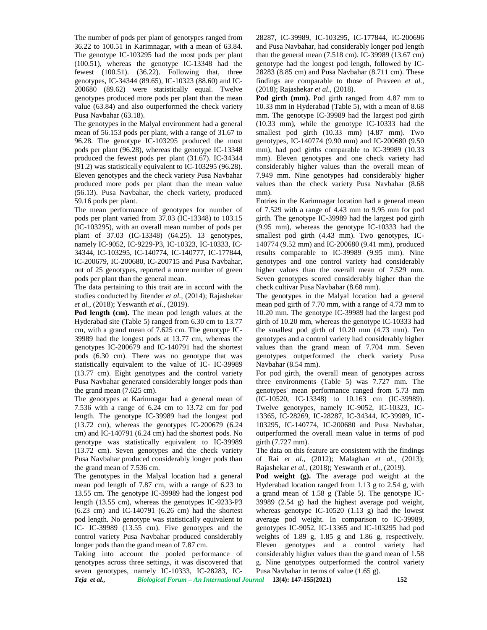The number of pods per plant of genotypes ranged from 36.22 to 100.51 in Karimnagar, with a mean of 63.84. The genotype IC-103295 had the most pods per plant (100.51), whereas the genotype IC-13348 had the fewest (100.51). (36.22). Following that, three genotypes, IC-34344 (89.65), IC-10323 (88.60) and IC- 200680 (89.62) were statistically equal. Twelve genotypes produced more pods per plant than the mean value (63.84) and also outperformed the check variety Pusa Navbahar (63.18).

The genotypes in the Malyal environment had a general mean of 56.153 pods per plant, with a range of 31.67 to 96.28. The genotype IC-103295 produced the most pods per plant (96.28), whereas the genotype IC-13348 produced the fewest pods per plant (31.67). IC-34344 (91.2) was statistically equivalent to IC-103295 (96.28). Eleven genotypes and the check variety Pusa Navbahar produced more pods per plant than the mean value (56.13). Pusa Navbahar, the check variety, produced 59.16 pods per plant.

The mean performance of genotypes for number of pods per plant varied from 37.03 (IC-13348) to 103.15 (IC-103295), with an overall mean number of pods per plant of 37.03 (IC-13348) (64.25). 13 genotypes, namely IC-9052, IC-9229-P3, IC-10323, IC-10333, IC- 34344, IC-103295, IC-140774, IC-140777, IC-177844, IC-200679, IC-200680, IC-200715 and Pusa Navbahar, out of 25 genotypes, reported a more number of green pods per plant than the general mean.

The data pertaining to this trait are in accord with the studies conducted by Jitender *et al.,* (2014); Rajashekar *et al.,* (2018); Yeswanth *et al.,* (2019).

**Pod length (cm).** The mean pod length values at the Hyderabad site (Table 5) ranged from 6.30 cm to 13.77 cm, with a grand mean of 7.625 cm. The genotype IC- 39989 had the longest pods at 13.77 cm, whereas the genotypes IC-200679 and IC-140791 had the shortest pods (6.30 cm). There was no genotype that was statistically equivalent to the value of IC- IC-39989 (13.77 cm). Eight genotypes and the control variety Pusa Navbahar generated considerably longer pods than the grand mean (7.625 cm).

The genotypes at Karimnagar had a general mean of 7.536 with a range of 6.24 cm to 13.72 cm for pod length. The genotype IC-39989 had the longest pod (13.72 cm), whereas the genotypes IC-200679 (6.24 cm) and IC-140791 (6.24 cm) had the shortest pods. No genotype was statistically equivalent to IC-39989 (13.72 cm). Seven genotypes and the check variety Pusa Navbahar produced considerably longer pods than the grand mean of 7.536 cm.

The genotypes in the Malyal location had a general mean pod length of 7.87 cm, with a range of 6.23 to 13.55 cm. The genotype IC-39989 had the longest pod length (13.55 cm), whereas the genotypes IC-9233-P3 (6.23 cm) and IC-140791 (6.26 cm) had the shortest pod length. No genotype was statistically equivalent to IC- IC-39989 (13.55 cm). Five genotypes and the control variety Pusa Navbahar produced considerably longer pods than the grand mean of 7.87 cm.

Taking into account the pooled performance of genotypes across three settings, it was discovered that seven genotypes, namely IC-10333, IC-28283, IC-

28287, IC-39989, IC-103295, IC-177844, IC-200696 and Pusa Navbahar, had considerably longer pod length than the general mean (7.518 cm). IC-39989 (13.67 cm) genotype had the longest pod length, followed by IC- 28283 (8.85 cm) and Pusa Navbahar (8.711 cm). These findings are comparable to those of Praveen *et al.,* (2018); Rajashekar *et al*., (2018).

Pod girth (mm). Pod girth ranged from 4.87 mm to 10.33 mm in Hyderabad (Table 5), with a mean of 8.68 mm. The genotype IC-39989 had the largest pod girth (10.33 mm), while the genotype IC-10333 had the smallest pod girth (10.33 mm) (4.87 mm). Two genotypes, IC-140774 (9.90 mm) and IC-200680 (9.50 mm), had pod girths comparable to IC-39989 (10.33 mm). Eleven genotypes and one check variety had considerably higher values than the overall mean of 7.949 mm. Nine genotypes had considerably higher values than the check variety Pusa Navbahar (8.68 mm).

Entries in the Karimnagar location had a general mean of 7.529 with a range of 4.43 mm to 9.95 mm for pod girth. The genotype IC-39989 had the largest pod girth (9.95 mm), whereas the genotype IC-10333 had the smallest pod girth (4.43 mm). Two genotypes, IC- 140774 (9.52 mm) and IC-200680 (9.41 mm), produced results comparable to IC-39989 (9.95 mm). Nine genotypes and one control variety had considerably higher values than the overall mean of 7.529 mm. Seven genotypes scored considerably higher than the check cultivar Pusa Navbahar (8.68 mm).

The genotypes in the Malyal location had a general mean pod girth of 7.70 mm, with a range of 4.73 mm to 10.20 mm. The genotype IC-39989 had the largest pod girth of 10.20 mm, whereas the genotype IC-10333 had the smallest pod girth of 10.20 mm (4.73 mm). Ten genotypes and a control variety had considerably higher values than the grand mean of 7.704 mm. Seven genotypes outperformed the check variety Pusa Navbahar (8.54 mm).

For pod girth, the overall mean of genotypes across three environments (Table 5) was 7.727 mm. The genotypes' mean performance ranged from 5.73 mm (IC-10520, IC-13348) to 10.163 cm (IC-39989). Twelve genotypes, namely IC-9052, IC-10323, IC- 13365, IC-28269, IC-28287, IC-34344, IC-39989, IC- 103295, IC-140774, IC-200680 and Pusa Navbahar, outperformed the overall mean value in terms of pod girth (7.727 mm).

The data on this feature are consistent with the findings of Rai *et al.*, (2012); Malaghan *et al.*, (2013); Rajashekar *et al.*, (2018); Yeswanth *et al.*, (2019).

**Pod weight (g).** The average pod weight at the Hyderabad location ranged from 1.13 g to 2.54 g, with a grand mean of 1.58 g (Table 5). The genotype IC- 39989 (2.54 g) had the highest average pod weight, whereas genotype IC-10520 (1.13 g) had the lowest average pod weight. In comparison to IC-39989, genotypes IC-9052, IC-13365 and IC-103295 had pod weights of 1.89 g, 1.85 g and 1.86 g, respectively. Eleven genotypes and a control variety had considerably higher values than the grand mean of 1.58 g. Nine genotypes outperformed the control variety Pusa Navbahar in terms of value (1.65 g).

*Teja et al., Biological Forum – An International Journal* **13(4): 147-155(2021) 152**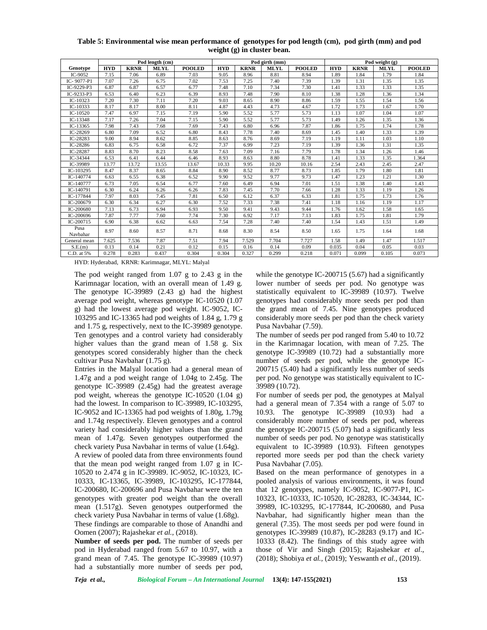|                  | Pod length (cm) |             |             |               |            |             | Pod girth (mm) |               | Pod weight $(g)$ |             |             |               |  |
|------------------|-----------------|-------------|-------------|---------------|------------|-------------|----------------|---------------|------------------|-------------|-------------|---------------|--|
| Genotype         | <b>HYD</b>      | <b>KRNR</b> | <b>MLYL</b> | <b>POOLED</b> | <b>HYD</b> | <b>KRNR</b> | <b>MLYL</b>    | <b>POOLED</b> | <b>HYD</b>       | <b>KRNR</b> | <b>MLYL</b> | <b>POOLED</b> |  |
| IC-9052          | 7.15            | 7.06        | 6.89        | 7.03          | 9.05       | 8.96        | 8.81           | 8.94          | 1.89             | 1.84        | 1.79        | 1.84          |  |
| IC-9077-P1       | 7.07            | 7.26        | 6.75        | 7.02          | 7.53       | 7.25        | 7.40           | 7.39          | 1.39             | 1.31        | 1.35        | 1.35          |  |
| IC-9229-P3       | 6.87            | 6.87        | 6.57        | 6.77          | 7.48       | 7.10        | 7.34           | 7.30          | 1.41             | 1.33        | 1.33        | 1.35          |  |
| IC-9233-P3       | 6.53            | 6.40        | 6.23        | 6.39          | 8.93       | 7.48        | 7.90           | 8.10          | 1.38             | 1.28        | 1.36        | 1.34          |  |
| IC-10323         | 7.20            | 7.30        | 7.11        | 7.20          | 9.03       | 8.65        | 8.90           | 8.86          | 1.59             | 1.55        | 1.54        | 1.56          |  |
| $IC-10333$       | 8.17            | 8.17        | 8.00        | 8.11          | 4.87       | 4.43        | 4.73           | 4.67          | 1.72             | 1.73        | 1.67        | 1.70          |  |
| $IC-10520$       | 7.47            | 6.97        | 7.15        | 7.19          | 5.90       | 5.52        | 5.77           | 5.73          | 1.13             | 1.07        | 1.04        | 1.07          |  |
| IC-13348         | 7.17            | 7.26        | 7.04        | 7.15          | 5.90       | 5.52        | 5.77           | 5.73          | 1.49             | 1.26        | 1.35        | 1.36          |  |
| $IC-13365$       | 7.98            | 7.43        | 7.68        | 7.69          | 7.43       | 6.80        | 6.96           | 7.87          | 1.86             | 1.75        | 1.74        | 1.78          |  |
| IC-28269         | 6.80            | 7.09        | 6.52        | 6.80          | 8.43       | 7.78        | 7.40           | 8.69          | 1.45             | 1.40        | 1.33        | 1.39          |  |
| IC-28283         | 9.00            | 8.94        | 8.62        | 8.85          | 8.63       | 8.76        | 8.69           | 7.19          | 1.19             | 1.11        | 1.03        | 1.10          |  |
| IC-28286         | 6.83            | 6.75        | 6.58        | 6.72          | 7.37       | 6.99        | 7.23           | 7.19          | 1.39             | 1.36        | 1.31        | 1.35          |  |
| IC-28287         | 8.83            | 8.70        | 8.23        | 8.58          | 7.63       | 7.09        | 7.16           | 7.79          | 1.78             | 1.34        | 1.26        | 1.46          |  |
| IC-34344         | 6.53            | 6.41        | 6.44        | 6.46          | 8.93       | 8.63        | 8.80           | 8.78          | 1.41             | 1.33        | 1.35        | 1.364         |  |
| IC-39989         | 13.77           | 13.72       | 13.55       | 13.67         | 10.33      | 9.95        | 10.20          | 10.16         | 2.54             | 2.43        | 2.45        | 2.47          |  |
| IC-103295        | 8.47            | 8.37        | 8.65        | 8.84          | 8.90       | 8.52        | 8.77           | 8.73          | 1.85             | 1.79        | 1.80        | 1.81          |  |
| IC-140774        | 6.63            | 6.55        | 6.38        | 6.52          | 9.90       | 9.52        | 9.77           | 9.73          | 1.47             | 1.23        | 1.21        | 1.30          |  |
| IC-140777        | 6.73            | 7.05        | 6.54        | 6.77          | 7.60       | 6.49        | 6.94           | 7.01          | 1.51             | 1.38        | 1.40        | 1.43          |  |
| IC-140791        | 6.30            | 6.24        | 6.26        | 6.26          | 7.83       | 7.45        | 7.70           | 7.66          | 1.28             | 1.33        | 1.19        | 1.26          |  |
| IC-177844        | 7.97            | 8.03        | 7.45        | 7.81          | 6.50       | 6.12        | 6.37           | 6.33          | 1.81             | 1.75        | 1.73        | 1.76          |  |
| IC-200679        | 6.30            | 6.34        | 6.27        | 6.30          | 7.52       | 7.33        | 7.38           | 7.41          | 1.18             | 1.16        | 1.19        | 1.17          |  |
| IC-200680        | 7.13            | 6.73        | 6.94        | 6.93          | 9.50       | 9.41        | 9.43           | 9.44          | 1.76             | 1.62        | 1.58        | 1.65          |  |
| IC-200696        | 7.87            | 7.77        | 7.60        | 7.74          | 7.30       | 6.92        | 7.17           | 7.13          | 1.83             | 1.75        | 1.81        | 1.79          |  |
| IC-200715        | 6.90            | 6.38        | 6.62        | 6.63          | 7.54       | 7.28        | 7.40           | 7.40          | 1.54             | 1.43        | 1.51        | 1.49          |  |
| Pusa<br>Navbahar | 8.97            | 8.60        | 8.57        | 8.71          | 8.68       | 8.30        | 8.54           | 8.50          | 1.65             | 1.75        | 1.64        | 1.68          |  |
| General mean     | 7.625           | 7.536       | 7.87        | 7.51          | 7.94       | 7.529       | 7.704          | 7.727         | 1.58             | 1.49        | 1.47        | 1.517         |  |
| S.E.(m)          | 0.13            | 0.14        | 0.21        | 0.12          | 0.15       | 0.16        | 0.14           | 0.09          | 0.035            | 0.04        | 0.05        | 0.03          |  |
| C.D. at 5%       | 0.278           | 0.283       | 0.437       | 0.304         | 0.304      | 0.327       | 0.299          | 0.218         | 0.071            | 0.099       | 0.105       | 0.073         |  |

**Table 5: Environmental wise mean performance of genotypes for pod length (cm), pod girth (mm) and pod weight (g) in cluster bean.**

HYD: Hyderabad, KRNR: Karimnagar, MLYL: Malyal

The pod weight ranged from 1.07 g to 2.43 g in the Karimnagar location, with an overall mean of 1.49 g. The genotype IC-39989 (2.43 g) had the highest average pod weight, whereas genotype IC-10520 (1.07 g) had the lowest average pod weight. IC-9052, IC- 103295 and IC-13365 had pod weights of 1.84 g, 1.79 g and 1.75 g, respectively, next to the IC-39989 genotype. Ten genotypes and a control variety had considerably higher values than the grand mean of 1.58 g. Six genotypes scored considerably higher than the check cultivar Pusa Navbahar (1.75 g).

Entries in the Malyal location had a general mean of 1.47g and a pod weight range of 1.04g to 2.45g. The genotype IC-39989 (2.45g) had the greatest average pod weight, whereas the genotype IC-10520 (1.04 g) had the lowest. In comparison to IC-39989, IC-103295, IC-9052 and IC-13365 had pod weights of 1.80g, 1.79g and 1.74g respectively. Eleven genotypes and a control variety had considerably higher values than the grand mean of 1.47g. Seven genotypes outperformed the check variety Pusa Navbahar in terms of value (1.64g).

A review of pooled data from three environments found that the mean pod weight ranged from 1.07 g in IC- 10520 to 2.474 g in IC-39989. IC-9052, IC-10323, IC- 10333, IC-13365, IC-39989, IC-103295, IC-177844, IC-200680, IC-200696 and Pusa Navbahar were the ten genotypes with greater pod weight than the overall mean (1.517g). Seven genotypes outperformed the check variety Pusa Navbahar in terms of value (1.68g).

These findings are comparable to those of Anandhi and Oomen (2007); Rajashekar *et al.,* (2018).

**Number of seeds per pod.** The number of seeds per pod in Hyderabad ranged from 5.67 to 10.97, with a grand mean of 7.45. The genotype IC-39989 (10.97) had a substantially more number of seeds per pod,

while the genotype IC-200715 (5.67) had a significantly lower number of seeds per pod. No genotype was statistically equivalent to IC-39989 (10.97). Twelve genotypes had considerably more seeds per pod than the grand mean of 7.45. Nine genotypes produced considerably more seeds per pod than the check variety Pusa Navbahar (7.59).

The number of seeds per pod ranged from 5.40 to 10.72 in the Karimnagar location, with mean of 7.25. The genotype IC-39989 (10.72) had a substantially more number of seeds per pod, while the genotype IC- 200715 (5.40) had a significantly less number of seeds per pod. No genotype was statistically equivalent to IC- 39989 (10.72).

For number of seeds per pod, the genotypes at Malyal had a general mean of 7.354 with a range of 5.07 to 10.93. The genotype IC-39989 (10.93) had a considerably more number of seeds per pod, whereas the genotype IC-200715 (5.07) had a significantly less number of seeds per pod. No genotype was statistically equivalent to IC-39989 (10.93). Fifteen genotypes reported more seeds per pod than the check variety Pusa Navbahar (7.05).

Based on the mean performance of genotypes in a pooled analysis of various environments, it was found that 12 genotypes, namely IC-9052, IC-9077-P1, IC- 10323, IC-10333, IC-10520, IC-28283, IC-34344, IC- 39989, IC-103295, IC-177844, IC-200680, and Pusa Navbahar, had significantly higher mean than the general (7.35). The most seeds per pod were found in genotypes IC-39989 (10.87), IC-28283 (9.17) and IC- 10333 (8.42). The findings of this study agree with those of Vir and Singh (2015); Rajashekar *et al*., (2018); Shobiya *et al.,* (2019); Yeswanth *et al.,* (2019).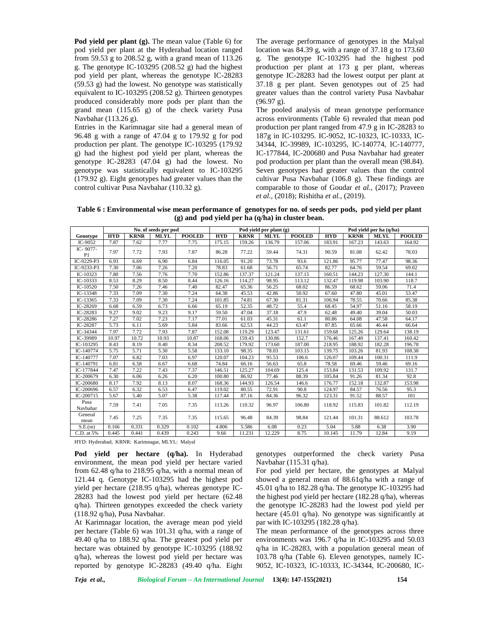**Pod yield per plant (g).** The mean value (Table 6) for pod yield per plant at the Hyderabad location ranged from 59.53 g to 208.52 g, with a grand mean of 113.26 g. The genotype IC-103295 (208.52 g) had the highest pod yield per plant, whereas the genotype IC-28283 (59.53 g) had the lowest. No genotype was statistically equivalent to IC-103295 (208.52 g). Thirteen genotypes produced considerably more pods per plant than the grand mean (115.65 g) of the check variety Pusa Navbahar (113.26 g).

Entries in the Karimnagar site had a general mean of 96.48 g with a range of 47.04 g to 179.92 g for pod production per plant. The genotype IC-103295 (179.92 g) had the highest pod yield per plant, whereas the genotype IC-28283 (47.04 g) had the lowest. No genotype was statistically equivalent to IC-103295 (179.92 g). Eight genotypes had greater values than the control cultivar Pusa Navbahar (110.32 g).

The average performance of genotypes in the Malyal location was 84.39 g, with a range of 37.18 g to 173.60 g. The genotype IC-103295 had the highest pod production per plant at 173 g per plant, whereas genotype IC-28283 had the lowest output per plant at 37.18 g per plant. Seven genotypes out of 25 had greater values than the control variety Pusa Navbahar (96.97 g).

The pooled analysis of mean genotype performance across environments (Table 6) revealed that mean pod production per plant ranged from 47.9 g in IC-28283 to 187g in IC-103295. IC-9052, IC-10323, IC-10333, IC- 34344, IC-39989, IC-103295, IC-140774, IC-140777, IC-177844, IC-200680 and Pusa Navbahar had greater pod production per plant than the overall mean (98.84). Seven genotypes had greater values than the control cultivar Pusa Navbahar (106.8 g). These findings are comparable to those of Goudar *et al.,* (2017); Praveen *et al.,* (2018); Rishitha *et al.,* (2019).

**Table 6 : Environmental wise mean performance of genotypes for no. of seeds per pods, pod yield per plant (g) and pod yield per ha (q/ha) in cluster bean.**

|                  |            |             | No. of seeds per pod |               |            |             | Pod yield per plant (g) |               | Pod yield per ha (q/ha) |             |             |               |
|------------------|------------|-------------|----------------------|---------------|------------|-------------|-------------------------|---------------|-------------------------|-------------|-------------|---------------|
| Genotype         | <b>HYD</b> | <b>KRNR</b> | <b>MLYL</b>          | <b>POOLED</b> | <b>HYD</b> | <b>KRNR</b> | <b>MLYL</b>             | <b>POOLED</b> | <b>HYD</b>              | <b>KRNR</b> | <b>MLYL</b> | <b>POOLED</b> |
| IC-9052          | 7.87       | 7.62        | 7.77                 | 7.75          | 175.15     | 159.26      | 136.79                  | 157.06        | 183.91                  | 167.23      | 143.63      | 164.92        |
| IC-9077-<br>P1   | 7.97       | 7.72        | 7.93                 | 7.87          | 86.28      | 77.22       | 59.44                   | 74.31         | 90.59                   | 81.08       | 62.42       | 78.03         |
| IC-9229-P3       | 6.93       | 6.69        | 6.90                 | 6.84          | 116.05     | 91.20       | 73.78                   | 93.6          | 121.86                  | 95.77       | 77.47       | 98.36         |
| IC-9233-P3       | 7.30       | 7.06        | 7.26                 | 7.20          | 78.83      | 61.68       | 56.71                   | 65.74         | 82.77                   | 64.76       | 59.54       | 69.02         |
| IC-10323         | 7.80       | 7.56        | 7.76                 | 7.70          | 152.86     | 137.37      | 121.24                  | 137.15        | 160.51                  | 144.23      | 127.30      | 144.1         |
| $IC-10333$       | 8.53       | 8.29        | 8.50                 | 8.44          | 126.16     | 114.27      | 98.95                   | 113.12        | 132.47                  | 119.98      | 103.90      | 118.7         |
| IC-10520         | 7.50       | 7.26        | 7.46                 | 7.40          | 82.47      | 65.36       | 56.25                   | 68.02         | 86.59                   | 68.62       | 59.06       | 71.4          |
| IC-13348         | 7.33       | 7.09        | 7.30                 | 7.24          | 64.38      | 45.53       | 42.86                   | 50.92         | 67.60                   | 47.80       | 45.01       | 53.47         |
| IC-13365         | 7.33       | 7.09        | 7.30                 | 7.24          | 101.85     | 74.81       | 67.30                   | 81.31         | 106.94                  | 78.55       | 70.66       | 85.38         |
| IC-28269         | 6.68       | 6.59        | 6.73                 | 6.66          | 65.19      | 52.35       | 48.72                   | 55.4          | 68.45                   | 54.97       | 51.16       | 58.19         |
| IC-28283         | 9.27       | 9.02        | 9.23                 | 9.17          | 59.50      | 47.04       | 37.18                   | 47.9          | 62.48                   | 49.40       | 39.04       | 50.03         |
| IC-28286         | 7.27       | 7.02        | 7.23                 | 7.17          | 77.01      | 61.03       | 45.31                   | 61.1          | 80.86                   | 64.08       | 47.58       | 64.17         |
| IC-28287         | 5.73       | 6.11        | 5.69                 | 5.84          | 83.66      | 62.53       | 44.23                   | 63.47         | 87.85                   | 65.66       | 46.44       | 66.64         |
| IC-34344         | 7.97       | 7.72        | 7.93                 | 7.87          | 152.08     | 119.29      | 123.47                  | 131.61        | 159.68                  | 125.26      | 129.64      | 138.19        |
| IC-39989         | 10.97      | 10.72       | 10.93                | 10.87         | 168.06     | 159.43      | 130.86                  | 152.7         | 176.46                  | 167.40      | 137.41      | 160.42        |
| IC-103295        | 8.43       | 8.19        | 8.40                 | 8.34          | 208.52     | 179.92      | 173.60                  | 187.00        | 218.95                  | 188.92      | 182.28      | 196.78        |
| IC-140774        | 5.75       | 5.71        | 5.30                 | 5.58          | 133.10     | 98.35       | 78.03                   | 103.15        | 139.75                  | 103.26      | 81.93       | 108.38        |
| IC-140777        | 7.07       | 6.82        | 7.03                 | 6.97          | 120.07     | 104.23      | 95.53                   | 106.6         | 126.07                  | 109.44      | 100.31      | 111.9         |
| IC-140791        | 6.81       | 6.58        | 6.67                 | 6.68          | 74.84      | 66.16       | 56.63                   | 65.8          | 78.58                   | 69.46       | 59.46       | 69.16         |
| IC-177844        | 7.47       | 7.22        | 7.43                 | 7.37          | 146.51     | 125.27      | 104.69                  | 125.4         | 153.84                  | 131.53      | 109.92      | 131.7         |
| IC-200679        | 6.30       | 6.06        | 6.26                 | 6.20          | 100.80     | 86.92       | 77.46                   | 88.39         | 105.84                  | 91.26       | 81.34       | 92.8          |
| IC-200680        | 8.17       | 7.92        | 8.13                 | 8.07          | 168.36     | 144.93      | 126.54                  | 146.6         | 176.77                  | 152.18      | 132.87      | 153.98        |
| IC-200696        | 6.57       | 6.32        | 6.53                 | 6.47          | 119.02     | 80.55       | 72.91                   | 90.8          | 124.97                  | 84.57       | 76.56       | 95.3          |
| IC-200715        | 5.67       | 5.40        | 5.07                 | 5.38          | 117.44     | 87.16       | 84.36                   | 96.32         | 123.31                  | 91.52       | 88.57       | 101           |
| Pusa<br>Navbahar | 7.59       | 7.41        | 7.05                 | 7.35          | 113.26     | 110.32      | 96.97                   | 106.80        | 118.92                  | 115.83      | 101.82      | 112.19        |
| General<br>mean  | 7.45       | 7.25        | 7.35                 | 7.35          | 115.65     | 96.48       | 84.39                   | 98.84         | 121.44                  | 101.31      | 88.612      | 103.78        |
| S.E.(m)          | 0.166      | 0.331       | 0.329                | 0.102         | 4.806      | 5.586       | 6.08                    | 0.23          | 5.04                    | 5.88        | 6.38        | 3.90          |
| C.D. at 5%       | 0.445      | 0.441       | 0.439                | 0.243         | 9.66       | 11.231      | 12.229                  | 8.75          | 10.145                  | 11.79       | 12.84       | 9.19          |

HYD: Hyderabad, KRNR: Karimnagar, MLYL: Malyal

**Pod yield per hectare (q/ha).** In Hyderabad environment, the mean pod yield per hectare varied from 62.48 q/ha to 218.95 q/ha, with a normal mean of 121.44 q. Genotype IC-103295 had the highest pod yield per hectare (218.95 q/ha), whereas genotype IC- 28283 had the lowest pod yield per hectare (62.48 q/ha). Thirteen genotypes exceeded the check variety (118.92 q/ha), Pusa Navbahar.

At Karimnagar location, the average mean pod yield per hectare (Table 6) was 101.31 q/ha, with a range of 49.40 q/ha to 188.92 q/ha. The greatest pod yield per hectare was obtained by genotype IC-103295 (188.92 q/ha), whereas the lowest pod yield per hectare was reported by genotype IC-28283 (49.40 q/ha. Eight genotypes outperformed the check variety Pusa Navbahar (115.31 q/ha).

For pod yield per hectare, the genotypes at Malyal showed a general mean of 88.61q/ha with a range of 45.01 q/ha to 182.28 q/ha. The genotype IC-103295 had the highest pod yield per hectare (182.28 q/ha), whereas the genotype IC-28283 had the lowest pod yield per hectare (45.01 q/ha). No genotype was significantly at par with IC-103295 (182.28 q/ha).

The mean performance of the genotypes across three environments was 196.7 q/ha in IC-103295 and 50.03 q/ha in IC-28283, with a population general mean of 103.78 q/ha (Table 6). Eleven genotypes, namely IC- 9052, IC-10323, IC-10333, IC-34344, IC-200680, IC-